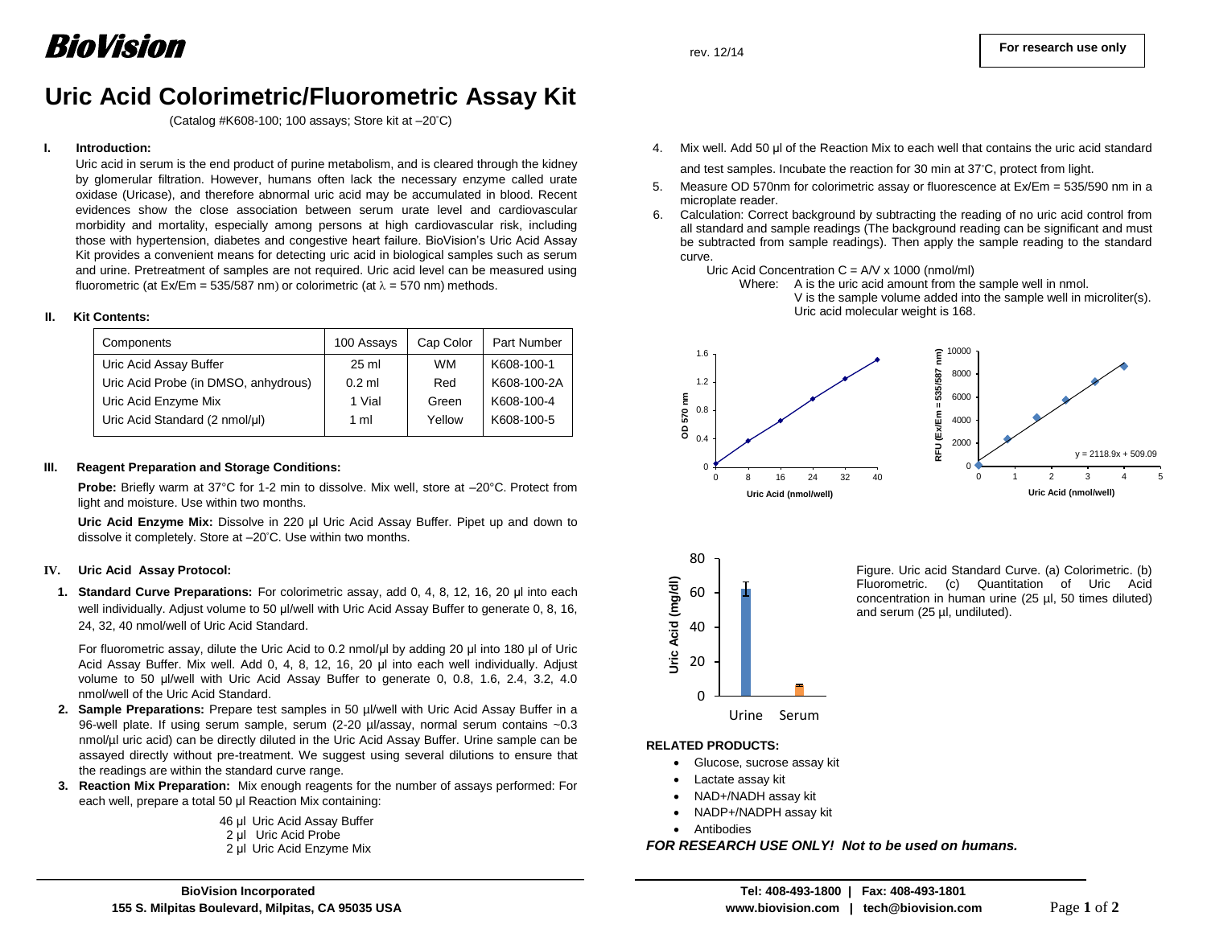## **Uric Acid Colorimetric/Fluorometric Assay Kit**

(Catalog #K608-100; 100 assays; Store kit at –20°C)

#### **I. Introduction:**

Uric acid in serum is the end product of purine metabolism, and is cleared through the kidney by glomerular filtration. However, humans often lack the necessary enzyme called urate oxidase (Uricase), and therefore abnormal uric acid may be accumulated in blood. Recent evidences show the close association between serum urate level and cardiovascular morbidity and mortality, especially among persons at high cardiovascular risk, including those with hypertension, diabetes and congestive heart failure. BioVision's Uric Acid Assay Kit provides a convenient means for detecting uric acid in biological samples such as serum and urine. Pretreatment of samples are not required. Uric acid level can be measured using fluorometric (at  $Ex/Em = 535/587$  nm) or colorimetric (at  $\lambda = 570$  nm) methods.

#### **II. Kit Contents:**

| Components                           | 100 Assays | Cap Color | <b>Part Number</b> |
|--------------------------------------|------------|-----------|--------------------|
| Uric Acid Assay Buffer               | $25$ ml    | <b>WM</b> | K608-100-1         |
| Uric Acid Probe (in DMSO, anhydrous) | $0.2$ ml   | Red       | K608-100-2A        |
| Uric Acid Enzyme Mix                 | 1 Vial     | Green     | K608-100-4         |
| Uric Acid Standard (2 nmol/µl)       | 1 ml       | Yellow    | K608-100-5         |

#### **III. Reagent Preparation and Storage Conditions:**

**Probe:** Briefly warm at 37°C for 1-2 min to dissolve. Mix well, store at –20°C. Protect from light and moisture. Use within two months.

**Uric Acid Enzyme Mix:** Dissolve in 220 µl Uric Acid Assay Buffer. Pipet up and down to dissolve it completely. Store at –20°C. Use within two months.

#### **IV. Uric Acid Assay Protocol:**

l

**1. Standard Curve Preparations:** For colorimetric assay, add 0, 4, 8, 12, 16, 20 µl into each well individually. Adjust volume to 50 µl/well with Uric Acid Assay Buffer to generate 0, 8, 16, 24, 32, 40 nmol/well of Uric Acid Standard.

 For fluorometric assay, dilute the Uric Acid to 0.2 nmol/µl by adding 20 µl into 180 µl of Uric Acid Assay Buffer. Mix well. Add 0, 4, 8, 12, 16, 20 µl into each well individually. Adjust volume to 50 µl/well with Uric Acid Assay Buffer to generate 0, 0.8, 1.6, 2.4, 3.2, 4.0 nmol/well of the Uric Acid Standard.

- **2. Sample Preparations:** Prepare test samples in 50 µl/well with Uric Acid Assay Buffer in a 96-well plate. If using serum sample, serum (2-20 µl/assay, normal serum contains ~0.3 nmol/µl uric acid) can be directly diluted in the Uric Acid Assay Buffer. Urine sample can be assayed directly without pre-treatment. We suggest using several dilutions to ensure that the readings are within the standard curve range.
- **3. Reaction Mix Preparation:** Mix enough reagents for the number of assays performed: For each well, prepare a total 50 µl Reaction Mix containing:
	- 46 µl Uric Acid Assay Buffer 2 µl Uric Acid Probe
	- 2 µl Uric Acid Enzyme Mix

4. Mix well. Add 50 µl of the Reaction Mix to each well that contains the uric acid standard

and test samples. Incubate the reaction for 30 min at 37°C, protect from light.

- 5. Measure OD 570nm for colorimetric assay or fluorescence at Ex/Em = 535/590 nm in a microplate reader.
- 6. Calculation: Correct background by subtracting the reading of no uric acid control from all standard and sample readings (The background reading can be significant and must be subtracted from sample readings). Then apply the sample reading to the standard curve.

Uric Acid Concentration  $C = A/V \times 1000$  (nmol/ml)







Figure. Uric acid Standard Curve. (a) Colorimetric. (b) Fluorometric. (c) Quantitation of Uric Acid concentration in human urine (25 µl, 50 times diluted) and serum (25 µl, undiluted).

#### **RELATED PRODUCTS:**

- Glucose, sucrose assay kit
- Lactate assay kit
- NAD+/NADH assay kit
- NADP+/NADPH assay kit
- Antibodies

*FOR RESEARCH USE ONLY! Not to be used on humans.*